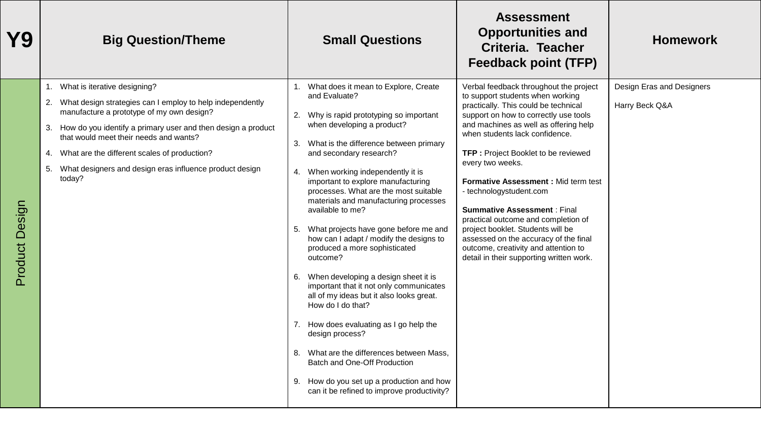| Y9                | <b>Big Question/Theme</b>                                                                                                                                                                                                                                                                                                                                                                  | <b>Small Questions</b>                                                                                                                                                                                                                                                                                                                                                                                                                                                                                                                                                                                                                                                                                                                                                                                                                                                                                                            | <b>Assessment</b><br><b>Opportunities and</b><br>Criteria. Teacher<br><b>Feedback point (TFP)</b>                                                                                                                                                                                                                                                                                                                                                                                                                                                                                                                   | <b>Homework</b>                             |
|-------------------|--------------------------------------------------------------------------------------------------------------------------------------------------------------------------------------------------------------------------------------------------------------------------------------------------------------------------------------------------------------------------------------------|-----------------------------------------------------------------------------------------------------------------------------------------------------------------------------------------------------------------------------------------------------------------------------------------------------------------------------------------------------------------------------------------------------------------------------------------------------------------------------------------------------------------------------------------------------------------------------------------------------------------------------------------------------------------------------------------------------------------------------------------------------------------------------------------------------------------------------------------------------------------------------------------------------------------------------------|---------------------------------------------------------------------------------------------------------------------------------------------------------------------------------------------------------------------------------------------------------------------------------------------------------------------------------------------------------------------------------------------------------------------------------------------------------------------------------------------------------------------------------------------------------------------------------------------------------------------|---------------------------------------------|
| Design<br>Product | What is iterative designing?<br>1.<br>What design strategies can I employ to help independently<br>2.<br>manufacture a prototype of my own design?<br>3. How do you identify a primary user and then design a product<br>that would meet their needs and wants?<br>4. What are the different scales of production?<br>5. What designers and design eras influence product design<br>today? | 1. What does it mean to Explore, Create<br>and Evaluate?<br>2. Why is rapid prototyping so important<br>when developing a product?<br>3. What is the difference between primary<br>and secondary research?<br>4. When working independently it is<br>important to explore manufacturing<br>processes. What are the most suitable<br>materials and manufacturing processes<br>available to me?<br>5. What projects have gone before me and<br>how can I adapt / modify the designs to<br>produced a more sophisticated<br>outcome?<br>6. When developing a design sheet it is<br>important that it not only communicates<br>all of my ideas but it also looks great.<br>How do I do that?<br>7. How does evaluating as I go help the<br>design process?<br>8. What are the differences between Mass,<br>Batch and One-Off Production<br>How do you set up a production and how<br>9.<br>can it be refined to improve productivity? | Verbal feedback throughout the project<br>to support students when working<br>practically. This could be technical<br>support on how to correctly use tools<br>and machines as well as offering help<br>when students lack confidence.<br>TFP: Project Booklet to be reviewed<br>every two weeks.<br>Formative Assessment : Mid term test<br>- technologystudent.com<br><b>Summative Assessment: Final</b><br>practical outcome and completion of<br>project booklet. Students will be<br>assessed on the accuracy of the final<br>outcome, creativity and attention to<br>detail in their supporting written work. | Design Eras and Designers<br>Harry Beck Q&A |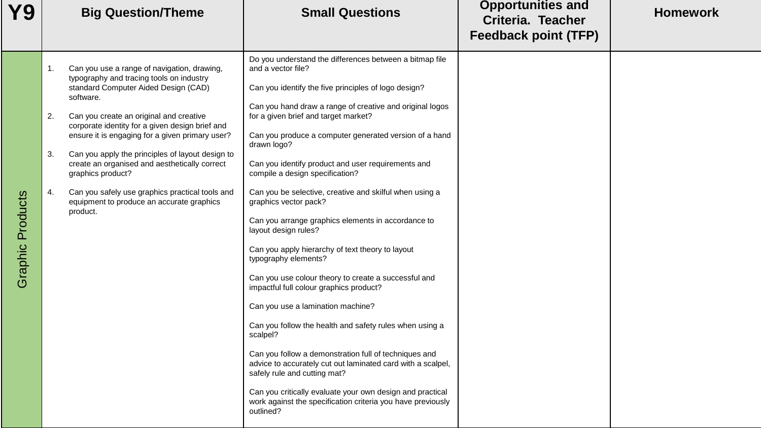| <b>Y9</b>           | <b>Big Question/Theme</b>                                                                                                                                                                                                                                                                                                                                                                                                                                                                                                                                   | <b>Small Questions</b>                                                                                                                                                                                                                                                                                                                                                                                                                                                                                                                                                                                                                                                                                                                                                                                                                                                                                                                                                                                                                                                                                                                                                    | <b>Opportunities and</b><br><b>Criteria. Teacher</b><br><b>Feedback point (TFP)</b> | <b>Homework</b> |
|---------------------|-------------------------------------------------------------------------------------------------------------------------------------------------------------------------------------------------------------------------------------------------------------------------------------------------------------------------------------------------------------------------------------------------------------------------------------------------------------------------------------------------------------------------------------------------------------|---------------------------------------------------------------------------------------------------------------------------------------------------------------------------------------------------------------------------------------------------------------------------------------------------------------------------------------------------------------------------------------------------------------------------------------------------------------------------------------------------------------------------------------------------------------------------------------------------------------------------------------------------------------------------------------------------------------------------------------------------------------------------------------------------------------------------------------------------------------------------------------------------------------------------------------------------------------------------------------------------------------------------------------------------------------------------------------------------------------------------------------------------------------------------|-------------------------------------------------------------------------------------|-----------------|
| Products<br>Graphic | Can you use a range of navigation, drawing,<br>1.<br>typography and tracing tools on industry<br>standard Computer Aided Design (CAD)<br>software.<br>Can you create an original and creative<br>2.<br>corporate identity for a given design brief and<br>ensure it is engaging for a given primary user?<br>Can you apply the principles of layout design to<br>3.<br>create an organised and aesthetically correct<br>graphics product?<br>Can you safely use graphics practical tools and<br>4.<br>equipment to produce an accurate graphics<br>product. | Do you understand the differences between a bitmap file<br>and a vector file?<br>Can you identify the five principles of logo design?<br>Can you hand draw a range of creative and original logos<br>for a given brief and target market?<br>Can you produce a computer generated version of a hand<br>drawn logo?<br>Can you identify product and user requirements and<br>compile a design specification?<br>Can you be selective, creative and skilful when using a<br>graphics vector pack?<br>Can you arrange graphics elements in accordance to<br>layout design rules?<br>Can you apply hierarchy of text theory to layout<br>typography elements?<br>Can you use colour theory to create a successful and<br>impactful full colour graphics product?<br>Can you use a lamination machine?<br>Can you follow the health and safety rules when using a<br>scalpel?<br>Can you follow a demonstration full of techniques and<br>advice to accurately cut out laminated card with a scalpel,<br>safely rule and cutting mat?<br>Can you critically evaluate your own design and practical<br>work against the specification criteria you have previously<br>outlined? |                                                                                     |                 |
|                     |                                                                                                                                                                                                                                                                                                                                                                                                                                                                                                                                                             |                                                                                                                                                                                                                                                                                                                                                                                                                                                                                                                                                                                                                                                                                                                                                                                                                                                                                                                                                                                                                                                                                                                                                                           |                                                                                     |                 |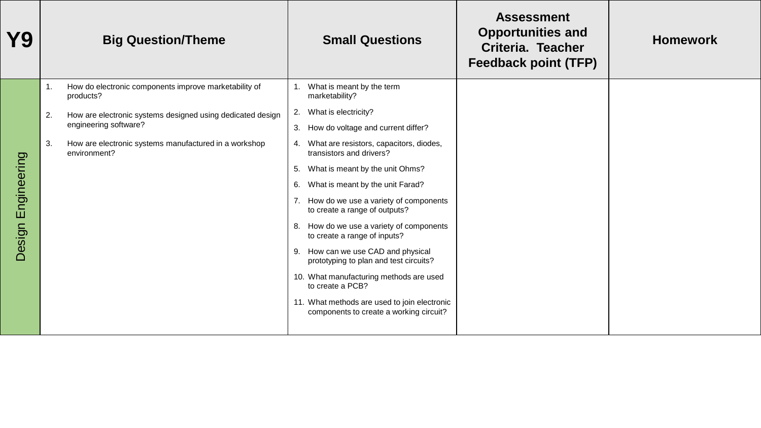| Y9                    |    | <b>Big Question/Theme</b>                                                           | <b>Small Questions</b>                                                                  | <b>Assessment</b><br><b>Opportunities and</b><br>Criteria. Teacher<br><b>Feedback point (TFP)</b> | <b>Homework</b> |
|-----------------------|----|-------------------------------------------------------------------------------------|-----------------------------------------------------------------------------------------|---------------------------------------------------------------------------------------------------|-----------------|
|                       | 1. | How do electronic components improve marketability of<br>products?                  | What is meant by the term<br>marketability?                                             |                                                                                                   |                 |
|                       | 2. | How are electronic systems designed using dedicated design<br>engineering software? | What is electricity?<br>2.                                                              |                                                                                                   |                 |
|                       |    |                                                                                     | How do voltage and current differ?<br>3.                                                |                                                                                                   |                 |
|                       | 3. | How are electronic systems manufactured in a workshop<br>environment?               | 4. What are resistors, capacitors, diodes,<br>transistors and drivers?                  |                                                                                                   |                 |
|                       |    |                                                                                     | What is meant by the unit Ohms?<br>5.                                                   |                                                                                                   |                 |
|                       |    |                                                                                     | What is meant by the unit Farad?<br>6.                                                  |                                                                                                   |                 |
| Engineering<br>Design |    |                                                                                     | 7. How do we use a variety of components<br>to create a range of outputs?               |                                                                                                   |                 |
|                       |    |                                                                                     | 8. How do we use a variety of components<br>to create a range of inputs?                |                                                                                                   |                 |
|                       |    |                                                                                     | 9. How can we use CAD and physical<br>prototyping to plan and test circuits?            |                                                                                                   |                 |
|                       |    |                                                                                     | 10. What manufacturing methods are used<br>to create a PCB?                             |                                                                                                   |                 |
|                       |    |                                                                                     | 11. What methods are used to join electronic<br>components to create a working circuit? |                                                                                                   |                 |
|                       |    |                                                                                     |                                                                                         |                                                                                                   |                 |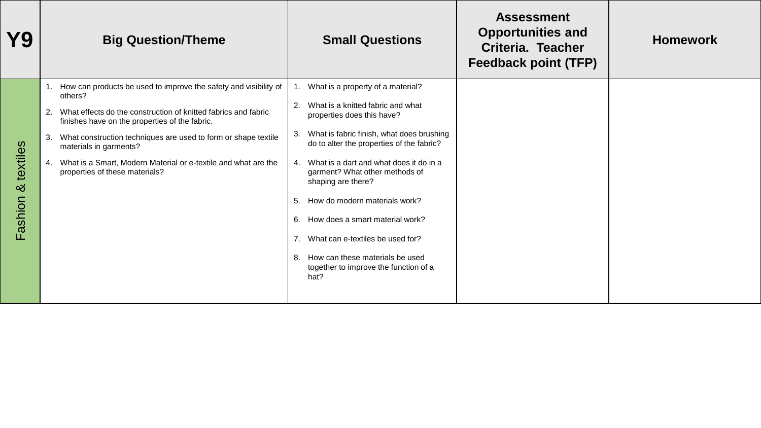| Y9                        | <b>Big Question/Theme</b>                                                                                                                                                                                                                                                                                                                                                                                         | <b>Small Questions</b>                                                                                                                                                                                                                                                                                                                                                                                                                                                                                                                                 | <b>Assessment</b><br><b>Opportunities and</b><br>Criteria. Teacher<br><b>Feedback point (TFP)</b> | <b>Homework</b> |
|---------------------------|-------------------------------------------------------------------------------------------------------------------------------------------------------------------------------------------------------------------------------------------------------------------------------------------------------------------------------------------------------------------------------------------------------------------|--------------------------------------------------------------------------------------------------------------------------------------------------------------------------------------------------------------------------------------------------------------------------------------------------------------------------------------------------------------------------------------------------------------------------------------------------------------------------------------------------------------------------------------------------------|---------------------------------------------------------------------------------------------------|-----------------|
| textiles<br>∞ర<br>Fashion | 1. How can products be used to improve the safety and visibility of<br>others?<br>What effects do the construction of knitted fabrics and fabric<br>2.<br>finishes have on the properties of the fabric.<br>What construction techniques are used to form or shape textile<br>3.<br>materials in garments?<br>4. What is a Smart, Modern Material or e-textile and what are the<br>properties of these materials? | What is a property of a material?<br>1.<br>What is a knitted fabric and what<br>2.<br>properties does this have?<br>What is fabric finish, what does brushing<br>З.<br>do to alter the properties of the fabric?<br>What is a dart and what does it do in a<br>$4_{\cdot}$<br>garment? What other methods of<br>shaping are there?<br>How do modern materials work?<br>5.<br>How does a smart material work?<br>6.<br>What can e-textiles be used for?<br>7.<br>How can these materials be used<br>8.<br>together to improve the function of a<br>hat? |                                                                                                   |                 |